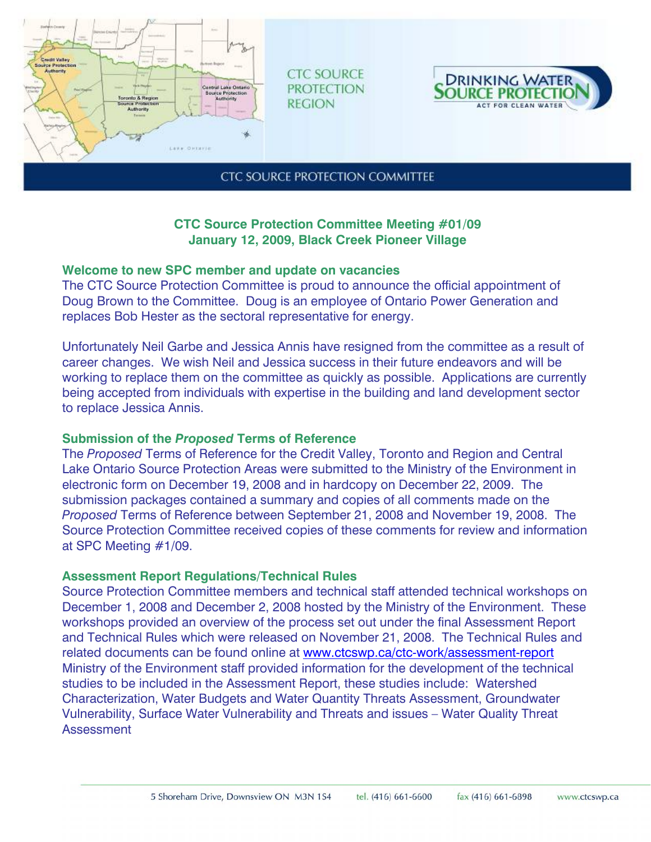

**CTC SOURCE PROTECTION REGION** 



**CTC SOURCE PROTECTION COMMITTEE** 

# **CTC Source Protection Committee Meeting #01/09 January 12, 2009, Black Creek Pioneer Village**

## **Welcome to new SPC member and update on vacancies**

The CTC Source Protection Committee is proud to announce the official appointment of Doug Brown to the Committee. Doug is an employee of Ontario Power Generation and replaces Bob Hester as the sectoral representative for energy.

Unfortunately Neil Garbe and Jessica Annis have resigned from the committee as a result of career changes. We wish Neil and Jessica success in their future endeavors and will be working to replace them on the committee as quickly as possible. Applications are currently being accepted from individuals with expertise in the building and land development sector to replace Jessica Annis.

## **Submission of the** *Proposed* **Terms of Reference**

The *Proposed* Terms of Reference for the Credit Valley, Toronto and Region and Central Lake Ontario Source Protection Areas were submitted to the Ministry of the Environment in electronic form on December 19, 2008 and in hardcopy on December 22, 2009. The submission packages contained a summary and copies of all comments made on the *Proposed* Terms of Reference between September 21, 2008 and November 19, 2008. The Source Protection Committee received copies of these comments for review and information at SPC Meeting #1/09.

## **Assessment Report Regulations/Technical Rules**

Source Protection Committee members and technical staff attended technical workshops on December 1, 2008 and December 2, 2008 hosted by the Ministry of the Environment. These workshops provided an overview of the process set out under the final Assessment Report and Technical Rules which were released on November 21, 2008. The Technical Rules and related documents can be found online at www.ctcswp.ca/ctc-work/assessment-report Ministry of the Environment staff provided information for the development of the technical studies to be included in the Assessment Report, these studies include: Watershed Characterization, Water Budgets and Water Quantity Threats Assessment, Groundwater Vulnerability, Surface Water Vulnerability and Threats and issues – Water Quality Threat **Assessment**